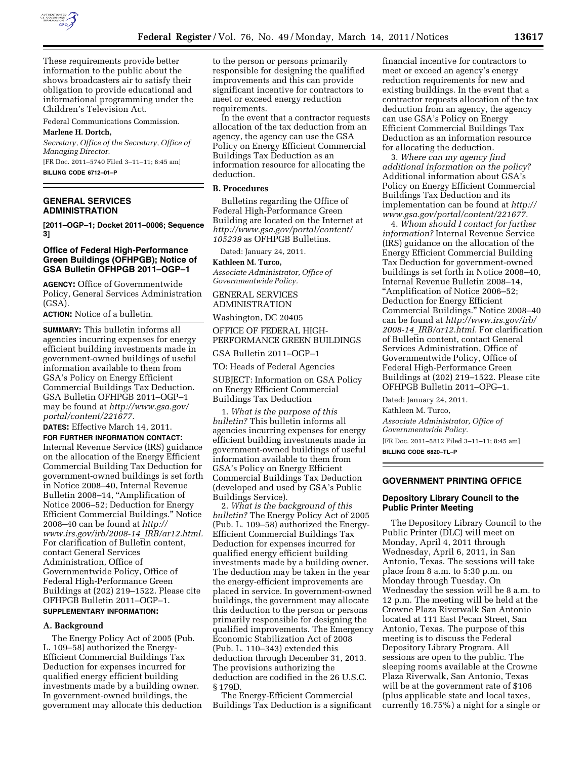

These requirements provide better information to the public about the shows broadcasters air to satisfy their obligation to provide educational and informational programming under the Children's Television Act.

Federal Communications Commission.

#### **Marlene H. Dortch,**

*Secretary, Office of the Secretary, Office of Managing Director.*  [FR Doc. 2011–5740 Filed 3–11–11; 8:45 am] **BILLING CODE 6712–01–P** 

**GENERAL SERVICES ADMINISTRATION** 

**[2011–OGP–1; Docket 2011–0006; Sequence 3]** 

#### **Office of Federal High-Performance Green Buildings (OFHPGB); Notice of GSA Bulletin OFHPGB 2011–OGP–1**

**AGENCY:** Office of Governmentwide Policy, General Services Administration (GSA).

**ACTION:** Notice of a bulletin.

**SUMMARY:** This bulletin informs all agencies incurring expenses for energy efficient building investments made in government-owned buildings of useful information available to them from GSA's Policy on Energy Efficient Commercial Buildings Tax Deduction. GSA Bulletin OFHPGB 2011–OGP–1 may be found at *[http://www.gsa.gov/](http://www.gsa.gov/portal/content/221677) [portal/content/221677.](http://www.gsa.gov/portal/content/221677)* 

**DATES:** Effective March 14, 2011.

**FOR FURTHER INFORMATION CONTACT:**  Internal Revenue Service (IRS) guidance on the allocation of the Energy Efficient Commercial Building Tax Deduction for government-owned buildings is set forth in Notice 2008–40, Internal Revenue Bulletin 2008-14, "Amplification of Notice 2006–52; Deduction for Energy Efficient Commercial Buildings.'' Notice 2008–40 can be found at *[http://](http://www.irs.gov/irb/2008-14_IRB/ar12.html)  [www.irs.gov/irb/2008-14](http://www.irs.gov/irb/2008-14_IRB/ar12.html)*\_*IRB/ar12.html.*  For clarification of Bulletin content, contact General Services Administration, Office of Governmentwide Policy, Office of Federal High-Performance Green Buildings at (202) 219–1522. Please cite OFHPGB Bulletin 2011–OGP–1.

# **SUPPLEMENTARY INFORMATION:**

# **A. Background**

The Energy Policy Act of 2005 (Pub. L. 109–58) authorized the Energy-Efficient Commercial Buildings Tax Deduction for expenses incurred for qualified energy efficient building investments made by a building owner. In government-owned buildings, the government may allocate this deduction to the person or persons primarily responsible for designing the qualified improvements and this can provide significant incentive for contractors to meet or exceed energy reduction requirements.

In the event that a contractor requests allocation of the tax deduction from an agency, the agency can use the GSA Policy on Energy Efficient Commercial Buildings Tax Deduction as an information resource for allocating the deduction.

## **B. Procedures**

Bulletins regarding the Office of Federal High-Performance Green Building are located on the Internet at *[http://www.gsa.gov/portal/content/](http://www.gsa.gov/portal/content/105239) [105239](http://www.gsa.gov/portal/content/105239)* as OFHPGB Bulletins.

Dated: January 24, 2011.

**Kathleen M. Turco,** 

*Associate Administrator, Office of Governmentwide Policy.* 

GENERAL SERVICES ADMINISTRATION

Washington, DC 20405

OFFICE OF FEDERAL HIGH-PERFORMANCE GREEN BUILDINGS

GSA Bulletin 2011–OGP–1

TO: Heads of Federal Agencies

SUBJECT: Information on GSA Policy on Energy Efficient Commercial Buildings Tax Deduction

1. *What is the purpose of this bulletin?* This bulletin informs all agencies incurring expenses for energy efficient building investments made in government-owned buildings of useful information available to them from GSA's Policy on Energy Efficient Commercial Buildings Tax Deduction (developed and used by GSA's Public Buildings Service).

2. *What is the background of this bulletin?* The Energy Policy Act of 2005 (Pub. L. 109–58) authorized the Energy-Efficient Commercial Buildings Tax Deduction for expenses incurred for qualified energy efficient building investments made by a building owner. The deduction may be taken in the year the energy-efficient improvements are placed in service. In government-owned buildings, the government may allocate this deduction to the person or persons primarily responsible for designing the qualified improvements. The Emergency Economic Stabilization Act of 2008 (Pub. L. 110–343) extended this deduction through December 31, 2013. The provisions authorizing the deduction are codified in the 26 U.S.C. § 179D.

The Energy-Efficient Commercial Buildings Tax Deduction is a significant

financial incentive for contractors to meet or exceed an agency's energy reduction requirements for new and existing buildings. In the event that a contractor requests allocation of the tax deduction from an agency, the agency can use GSA's Policy on Energy Efficient Commercial Buildings Tax Deduction as an information resource for allocating the deduction.

3. *Where can my agency find additional information on the policy?*  Additional information about GSA's Policy on Energy Efficient Commercial Buildings Tax Deduction and its implementation can be found at *[http://](http://www.gsa.gov/portal/content/221677)  [www.gsa.gov/portal/content/221677.](http://www.gsa.gov/portal/content/221677)* 

4. *Whom should I contact for further information?* Internal Revenue Service (IRS) guidance on the allocation of the Energy Efficient Commercial Building Tax Deduction for government-owned buildings is set forth in Notice 2008–40, Internal Revenue Bulletin 2008–14, ''Amplification of Notice 2006–52; Deduction for Energy Efficient Commercial Buildings.'' Notice 2008–40 can be found at *[http://www.irs.gov/irb/](http://www.irs.gov/irb/2008-14_IRB/ar12.html)  2008-14*\_*[IRB/ar12.html.](http://www.irs.gov/irb/2008-14_IRB/ar12.html)* For clarification of Bulletin content, contact General Services Administration, Office of Governmentwide Policy, Office of Federal High-Performance Green Buildings at (202) 219–1522. Please cite OFHPGB Bulletin 2011–OPG–1.

Dated: January 24, 2011. Kathleen M. Turco, *Associate Administrator, Office of Governmentwide Policy.* 

[FR Doc. 2011–5812 Filed 3–11–11; 8:45 am] **BILLING CODE 6820–TL–P** 

# **GOVERNMENT PRINTING OFFICE**

#### **Depository Library Council to the Public Printer Meeting**

The Depository Library Council to the Public Printer (DLC) will meet on Monday, April 4, 2011 through Wednesday, April 6, 2011, in San Antonio, Texas. The sessions will take place from 8 a.m. to 5:30 p.m. on Monday through Tuesday. On Wednesday the session will be 8 a.m. to 12 p.m. The meeting will be held at the Crowne Plaza Riverwalk San Antonio located at 111 East Pecan Street, San Antonio, Texas. The purpose of this meeting is to discuss the Federal Depository Library Program. All sessions are open to the public. The sleeping rooms available at the Crowne Plaza Riverwalk, San Antonio, Texas will be at the government rate of \$106 (plus applicable state and local taxes, currently 16.75%) a night for a single or